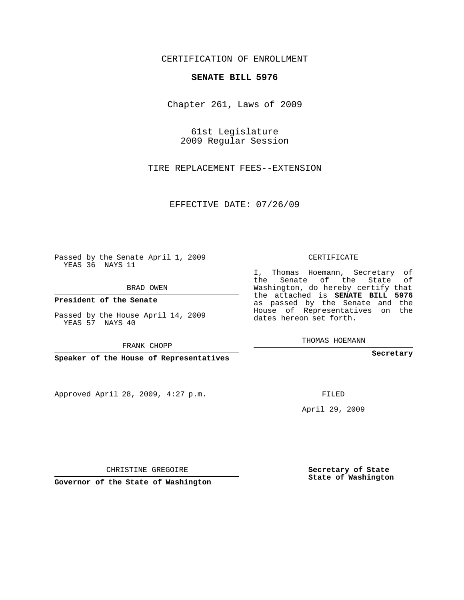## CERTIFICATION OF ENROLLMENT

## **SENATE BILL 5976**

Chapter 261, Laws of 2009

61st Legislature 2009 Regular Session

TIRE REPLACEMENT FEES--EXTENSION

EFFECTIVE DATE: 07/26/09

Passed by the Senate April 1, 2009 YEAS 36 NAYS 11

BRAD OWEN

**President of the Senate**

Passed by the House April 14, 2009 YEAS 57 NAYS 40

FRANK CHOPP

**Speaker of the House of Representatives**

Approved April 28, 2009, 4:27 p.m.

CERTIFICATE

I, Thomas Hoemann, Secretary of the Senate of the State of Washington, do hereby certify that the attached is **SENATE BILL 5976** as passed by the Senate and the House of Representatives on the dates hereon set forth.

THOMAS HOEMANN

**Secretary**

FILED

April 29, 2009

CHRISTINE GREGOIRE

**Governor of the State of Washington**

**Secretary of State State of Washington**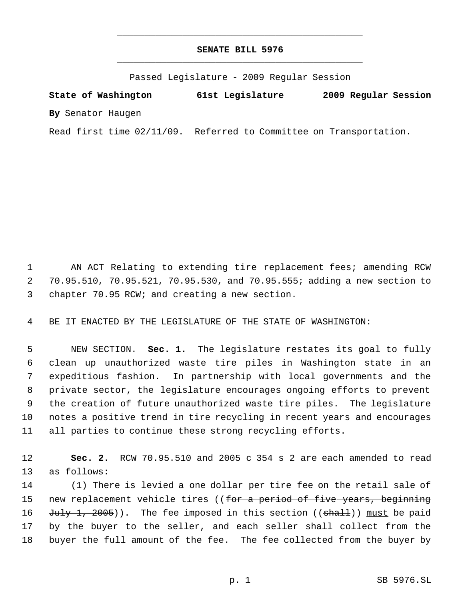## **SENATE BILL 5976** \_\_\_\_\_\_\_\_\_\_\_\_\_\_\_\_\_\_\_\_\_\_\_\_\_\_\_\_\_\_\_\_\_\_\_\_\_\_\_\_\_\_\_\_\_

\_\_\_\_\_\_\_\_\_\_\_\_\_\_\_\_\_\_\_\_\_\_\_\_\_\_\_\_\_\_\_\_\_\_\_\_\_\_\_\_\_\_\_\_\_

Passed Legislature - 2009 Regular Session

**State of Washington 61st Legislature 2009 Regular Session By** Senator Haugen

Read first time 02/11/09. Referred to Committee on Transportation.

 AN ACT Relating to extending tire replacement fees; amending RCW 70.95.510, 70.95.521, 70.95.530, and 70.95.555; adding a new section to chapter 70.95 RCW; and creating a new section.

BE IT ENACTED BY THE LEGISLATURE OF THE STATE OF WASHINGTON:

 NEW SECTION. **Sec. 1.** The legislature restates its goal to fully clean up unauthorized waste tire piles in Washington state in an expeditious fashion. In partnership with local governments and the private sector, the legislature encourages ongoing efforts to prevent the creation of future unauthorized waste tire piles. The legislature notes a positive trend in tire recycling in recent years and encourages all parties to continue these strong recycling efforts.

 **Sec. 2.** RCW 70.95.510 and 2005 c 354 s 2 are each amended to read as follows:

 (1) There is levied a one dollar per tire fee on the retail sale of 15 new replacement vehicle tires ((for a period of five years, beginning 16 July 1, 2005)). The fee imposed in this section ((shall)) must be paid by the buyer to the seller, and each seller shall collect from the buyer the full amount of the fee. The fee collected from the buyer by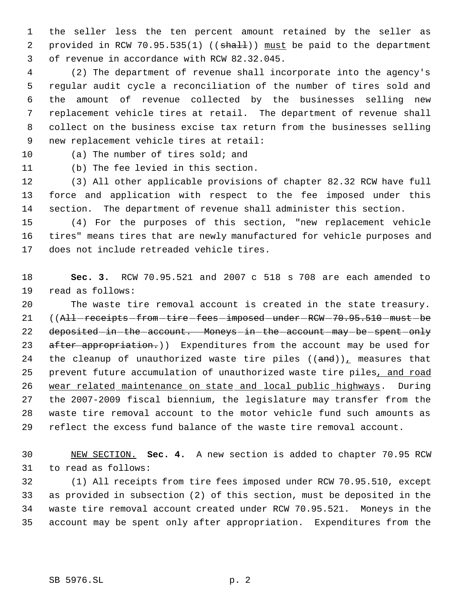the seller less the ten percent amount retained by the seller as 2 provided in RCW 70.95.535(1) ((shall)) must be paid to the department of revenue in accordance with RCW 82.32.045.

 (2) The department of revenue shall incorporate into the agency's regular audit cycle a reconciliation of the number of tires sold and the amount of revenue collected by the businesses selling new replacement vehicle tires at retail. The department of revenue shall collect on the business excise tax return from the businesses selling new replacement vehicle tires at retail:

(a) The number of tires sold; and

(b) The fee levied in this section.

 (3) All other applicable provisions of chapter 82.32 RCW have full force and application with respect to the fee imposed under this section. The department of revenue shall administer this section.

 (4) For the purposes of this section, "new replacement vehicle tires" means tires that are newly manufactured for vehicle purposes and does not include retreaded vehicle tires.

 **Sec. 3.** RCW 70.95.521 and 2007 c 518 s 708 are each amended to read as follows:

 The waste tire removal account is created in the state treasury. 21 ((All-receipts-from-tire-fees-imposed-under-RCW-70.95.510-must-be 22 deposited in the account. Moneys in the account may be spent only 23 after appropriation.)) Expenditures from the account may be used for 24 the cleanup of unauthorized waste tire piles  $((and))_T$  measures that 25 prevent future accumulation of unauthorized waste tire piles, and road wear related maintenance on state and local public highways. During the 2007-2009 fiscal biennium, the legislature may transfer from the waste tire removal account to the motor vehicle fund such amounts as reflect the excess fund balance of the waste tire removal account.

 NEW SECTION. **Sec. 4.** A new section is added to chapter 70.95 RCW to read as follows:

 (1) All receipts from tire fees imposed under RCW 70.95.510, except as provided in subsection (2) of this section, must be deposited in the waste tire removal account created under RCW 70.95.521. Moneys in the account may be spent only after appropriation. Expenditures from the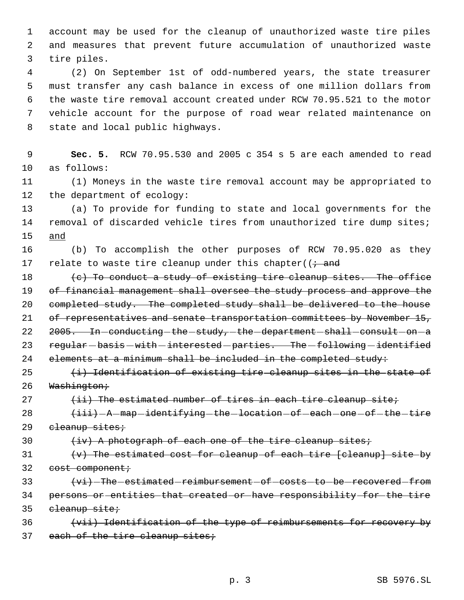1 account may be used for the cleanup of unauthorized waste tire piles 2 and measures that prevent future accumulation of unauthorized waste 3 tire piles.

 (2) On September 1st of odd-numbered years, the state treasurer must transfer any cash balance in excess of one million dollars from the waste tire removal account created under RCW 70.95.521 to the motor vehicle account for the purpose of road wear related maintenance on state and local public highways.

 9 **Sec. 5.** RCW 70.95.530 and 2005 c 354 s 5 are each amended to read 10 as follows:

11 (1) Moneys in the waste tire removal account may be appropriated to 12 the department of ecology:

13 (a) To provide for funding to state and local governments for the 14 removal of discarded vehicle tires from unauthorized tire dump sites; 15 and

16 (b) To accomplish the other purposes of RCW 70.95.020 as they 17 relate to waste tire cleanup under this chapter( $\left(i + \text{and} \right)$ 

18  $(e)$  To conduct a study of existing tire cleanup sites. The office 19 of financial management shall oversee the study process and approve the 20 completed study. The completed study shall be delivered to the house 21 of representatives and senate transportation committees by November 15, 22 2005. In-conducting-the-study,-the-department-shall-consult-on-a 23 regular-basis-with-interested-parties. The-following-identified 24 elements at a minimum shall be included in the completed study:

 $25$   $\leftrightarrow$  Identification of existing tire cleanup sites in the state of 26 Washington;

27  $(iii)$  The estimated number of tires in each tire cleanup site;

28  $\leftarrow$   $\leftarrow$  iii) - A - map - identifying - the - location - of - each - one - of - the - tire 29 cleanup sites;

30  $\leftarrow$   $\leftarrow$   $\leftarrow$   $\leftarrow$   $\leftarrow$   $\leftarrow$   $\leftarrow$   $\leftarrow$   $\leftarrow$   $\leftarrow$   $\leftarrow$   $\leftarrow$   $\leftarrow$   $\leftarrow$   $\leftarrow$   $\leftarrow$   $\leftarrow$   $\leftarrow$   $\leftarrow$   $\leftarrow$   $\leftarrow$   $\leftarrow$   $\leftarrow$   $\leftarrow$   $\leftarrow$   $\leftarrow$   $\leftarrow$   $\leftarrow$   $\leftarrow$   $\leftarrow$   $\leftarrow$   $\leftarrow$   $\leftarrow$   $\leftarrow$   $\leftarrow$   $\leftarrow$   $\$ 

 $31$  (v) The estimated cost for cleanup of each tire [cleanup] site by 32 cost component;

33  $\{vi\}$ -The-estimated-reimbursement-of-costs-to-be-recovered-from 34 persons or entities that created or have responsibility for the tire 35 cleanup site;

36 (vii) Identification of the type of reimbursements for recovery by 37 each of the tire cleanup sites;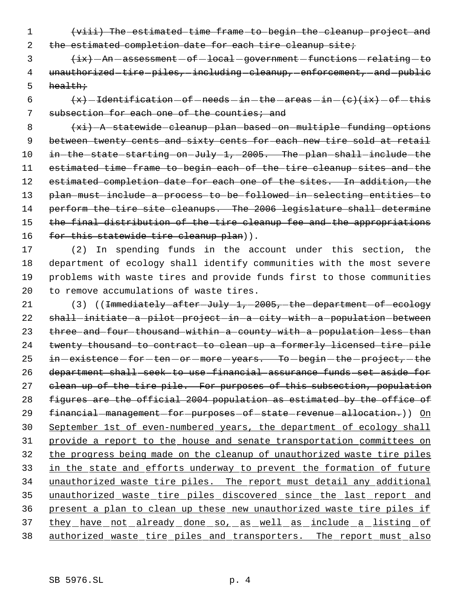1 (viii) The estimated time frame to begin the cleanup project and

2 the estimated completion date for each tire cleanup site;

3  $\{ix\}$  - An - assessment - of - local - government - functions - relating - to 4 unauthorized-tire-piles,-including-cleanup,-enforcement,-and-public  $5$  health;

6  $\left\{\n \begin{array}{l}\n +x\end{array}\n \right\}$  -Identification -of -needs -in -the -areas -in -(c)(ix) -of -this 7 subsection for each one of the counties; and

8 (xi) - A statewide cleanup plan based on multiple funding options 9 between twenty cents and sixty cents for each new tire sold at retail 10 in-the-state-starting-on-July-1,-2005. The-plan-shall-include-the 11 estimated time frame to begin each of the tire cleanup sites and the 12 estimated completion date for each one of the sites. In addition, the 13 plan must include a process to be followed in selecting entities to 14 perform the tire site cleanups. The 2006 legislature shall determine 15 the final distribution of the tire cleanup fee and the appropriations 16 for this statewide tire cleanup plan)).

 (2) In spending funds in the account under this section, the department of ecology shall identify communities with the most severe problems with waste tires and provide funds first to those communities to remove accumulations of waste tires.

21 (3) ((<del>Immediately after July 1, 2005, the department of ecology</del> 22 shall-initiate a pilot project in a city with a population between 23 three and four thousand within a county with a population less than 24 twenty thousand to contract to clean up a formerly licensed tire pile 25 in -existence -for -ten -or -more -years. To -begin -the -project, -the 26 department shall seek to use financial assurance funds set aside for 27 clean up of the tire pile. For purposes of this subsection, population 28 figures are the official 2004 population as estimated by the office of 29 financial management for purposes of state revenue allocation.) On 30 September 1st of even-numbered years, the department of ecology shall 31 provide a report to the house and senate transportation committees on 32 the progress being made on the cleanup of unauthorized waste tire piles 33 in the state and efforts underway to prevent the formation of future 34 unauthorized waste tire piles. The report must detail any additional 35 unauthorized waste tire piles discovered since the last report and 36 present a plan to clean up these new unauthorized waste tire piles if 37 they have not already done so, as well as include a listing of 38 authorized waste tire piles and transporters. The report must also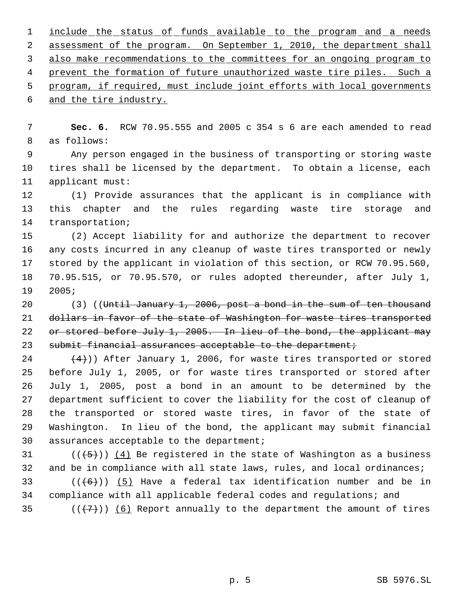1 include the status of funds available to the program and a needs assessment of the program. On September 1, 2010, the department shall also make recommendations to the committees for an ongoing program to 4 prevent the formation of future unauthorized waste tire piles. Such a program, if required, must include joint efforts with local governments and the tire industry.

 **Sec. 6.** RCW 70.95.555 and 2005 c 354 s 6 are each amended to read as follows:

 Any person engaged in the business of transporting or storing waste tires shall be licensed by the department. To obtain a license, each applicant must:

 (1) Provide assurances that the applicant is in compliance with this chapter and the rules regarding waste tire storage and transportation;

 (2) Accept liability for and authorize the department to recover any costs incurred in any cleanup of waste tires transported or newly stored by the applicant in violation of this section, or RCW 70.95.560, 70.95.515, or 70.95.570, or rules adopted thereunder, after July 1, 2005;

20 (3) ((Until January 1, 2006, post a bond in the sum of ten thousand 21 dollars in favor of the state of Washington for waste tires transported 22 or stored before July 1, 2005. In lieu of the bond, the applicant may 23 submit financial assurances acceptable to the department;

 $(4)$ )) After January 1, 2006, for waste tires transported or stored before July 1, 2005, or for waste tires transported or stored after July 1, 2005, post a bond in an amount to be determined by the department sufficient to cover the liability for the cost of cleanup of the transported or stored waste tires, in favor of the state of Washington. In lieu of the bond, the applicant may submit financial assurances acceptable to the department;

31 ( $(\overline{5})$ ) (4) Be registered in the state of Washington as a business 32 and be in compliance with all state laws, rules, and local ordinances; 33 ( $(\overline{6})$ ) (5) Have a federal tax identification number and be in compliance with all applicable federal codes and regulations; and 35  $((+7))$  (6) Report annually to the department the amount of tires